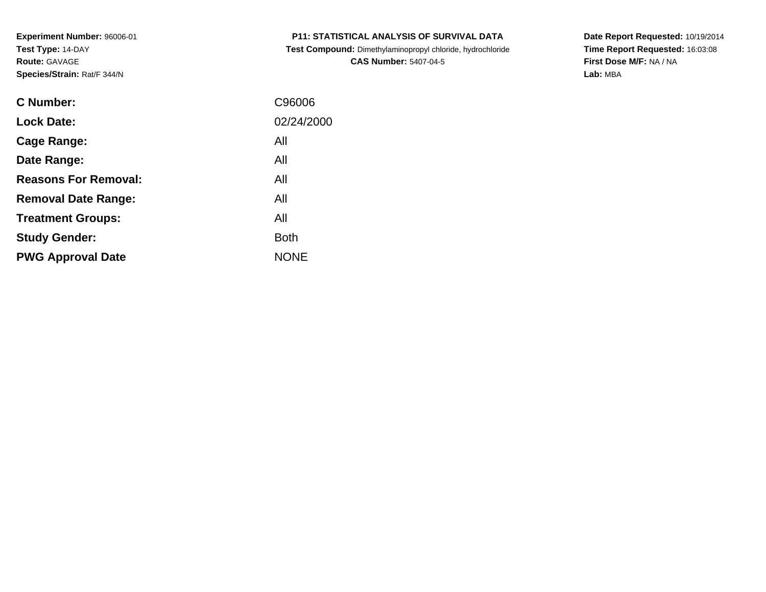**Test Compound:** Dimethylaminopropyl chloride, hydrochloride**CAS Number:** 5407-04-5

**Date Report Requested:** 10/19/2014 **Time Report Requested:** 16:03:08**First Dose M/F:** NA / NA**Lab:** MBA

| C Number:                   | C96006      |
|-----------------------------|-------------|
| <b>Lock Date:</b>           | 02/24/2000  |
| Cage Range:                 | All         |
| Date Range:                 | All         |
| <b>Reasons For Removal:</b> | All         |
| <b>Removal Date Range:</b>  | All         |
| <b>Treatment Groups:</b>    | All         |
| <b>Study Gender:</b>        | <b>Both</b> |
| <b>PWG Approval Date</b>    | <b>NONE</b> |
|                             |             |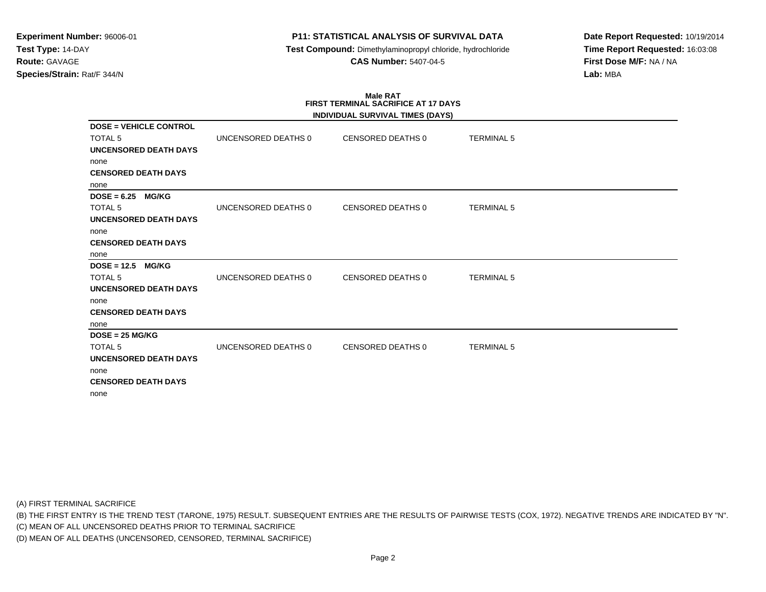**Test Compound:** Dimethylaminopropyl chloride, hydrochloride**CAS Number:** 5407-04-5

**Date Report Requested:** 10/19/2014**Time Report Requested:** 16:03:08**First Dose M/F:** NA / NA**Lab:** MBA

# **Male RATFIRST TERMINAL SACRIFICE AT 17 DAYS**

|                               |                     | INDIVIDUAL SURVIVAL TIMES (DAYS) |                   |
|-------------------------------|---------------------|----------------------------------|-------------------|
| <b>DOSE = VEHICLE CONTROL</b> |                     |                                  |                   |
| <b>TOTAL 5</b>                | UNCENSORED DEATHS 0 | CENSORED DEATHS 0                | <b>TERMINAL 5</b> |
| <b>UNCENSORED DEATH DAYS</b>  |                     |                                  |                   |
| none                          |                     |                                  |                   |
| <b>CENSORED DEATH DAYS</b>    |                     |                                  |                   |
| none                          |                     |                                  |                   |
| $DOSE = 6.25$<br><b>MG/KG</b> |                     |                                  |                   |
| <b>TOTAL 5</b>                | UNCENSORED DEATHS 0 | CENSORED DEATHS 0                | <b>TERMINAL 5</b> |
| <b>UNCENSORED DEATH DAYS</b>  |                     |                                  |                   |
| none                          |                     |                                  |                   |
| <b>CENSORED DEATH DAYS</b>    |                     |                                  |                   |
| none                          |                     |                                  |                   |
| $DOSE = 12.5$<br><b>MG/KG</b> |                     |                                  |                   |
| <b>TOTAL 5</b>                | UNCENSORED DEATHS 0 | CENSORED DEATHS 0                | <b>TERMINAL 5</b> |
| UNCENSORED DEATH DAYS         |                     |                                  |                   |
| none                          |                     |                                  |                   |
| <b>CENSORED DEATH DAYS</b>    |                     |                                  |                   |
| none                          |                     |                                  |                   |
| $DOSE = 25 MG/KG$             |                     |                                  |                   |
| TOTAL <sub>5</sub>            | UNCENSORED DEATHS 0 | <b>CENSORED DEATHS 0</b>         | <b>TERMINAL 5</b> |
| <b>UNCENSORED DEATH DAYS</b>  |                     |                                  |                   |
| none                          |                     |                                  |                   |
| <b>CENSORED DEATH DAYS</b>    |                     |                                  |                   |
| none                          |                     |                                  |                   |

(A) FIRST TERMINAL SACRIFICE

(B) THE FIRST ENTRY IS THE TREND TEST (TARONE, 1975) RESULT. SUBSEQUENT ENTRIES ARE THE RESULTS OF PAIRWISE TESTS (COX, 1972). NEGATIVE TRENDS ARE INDICATED BY "N".

(C) MEAN OF ALL UNCENSORED DEATHS PRIOR TO TERMINAL SACRIFICE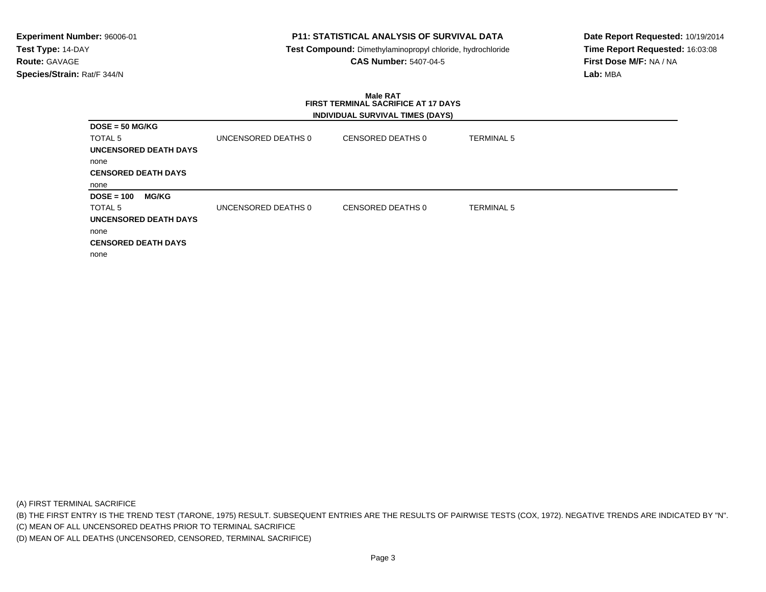## **P11: STATISTICAL ANALYSIS OF SURVIVAL DATA**

 **Test Compound:** Dimethylaminopropyl chloride, hydrochloride**CAS Number:** 5407-04-5

**Date Report Requested:** 10/19/2014**Time Report Requested:** 16:03:08**First Dose M/F:** NA / NA**Lab:** MBA

#### **Male RAT FIRST TERMINAL SACRIFICE AT 17 DAYSINDIVIDUAL SURVIVAL TIMES (DAYS)**

| $DOSE = 50 MG/KG$            |                              |                     |                   |                   |
|------------------------------|------------------------------|---------------------|-------------------|-------------------|
| <b>TOTAL 5</b>               |                              | UNCENSORED DEATHS 0 | CENSORED DEATHS 0 | <b>TERMINAL 5</b> |
|                              | <b>UNCENSORED DEATH DAYS</b> |                     |                   |                   |
| none                         |                              |                     |                   |                   |
| <b>CENSORED DEATH DAYS</b>   |                              |                     |                   |                   |
| none                         |                              |                     |                   |                   |
| $DOSE = 100$                 | <b>MG/KG</b>                 |                     |                   |                   |
| TOTAL 5                      |                              | UNCENSORED DEATHS 0 | CENSORED DEATHS 0 | <b>TERMINAL 5</b> |
| <b>UNCENSORED DEATH DAYS</b> |                              |                     |                   |                   |
| none                         |                              |                     |                   |                   |
| <b>CENSORED DEATH DAYS</b>   |                              |                     |                   |                   |
| none                         |                              |                     |                   |                   |

(A) FIRST TERMINAL SACRIFICE

(B) THE FIRST ENTRY IS THE TREND TEST (TARONE, 1975) RESULT. SUBSEQUENT ENTRIES ARE THE RESULTS OF PAIRWISE TESTS (COX, 1972). NEGATIVE TRENDS ARE INDICATED BY "N".

(C) MEAN OF ALL UNCENSORED DEATHS PRIOR TO TERMINAL SACRIFICE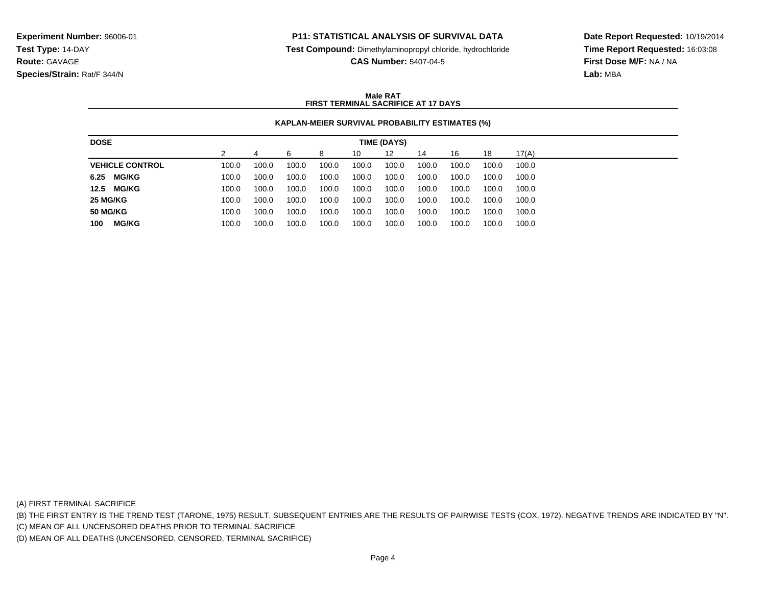**Test Compound:** Dimethylaminopropyl chloride, hydrochloride

**CAS Number:** 5407-04-5

**Date Report Requested:** 10/19/2014**Time Report Requested:** 16:03:08**First Dose M/F:** NA / NA**Lab:** MBA

### **Male RATFIRST TERMINAL SACRIFICE AT 17 DAYS**

### **KAPLAN-MEIER SURVIVAL PROBABILITY ESTIMATES (%)**

| <b>DOSE</b>            |       |       |       |       |       | TIME (DAYS) |       |       |       |       |
|------------------------|-------|-------|-------|-------|-------|-------------|-------|-------|-------|-------|
|                        |       |       | ิค    | 8     | 10    | 12          | 14    | 16    | 18    | 17(A) |
| <b>VEHICLE CONTROL</b> | 100.0 | 100.0 | 100.0 | 100.0 | 100.0 | 100.0       | 100.0 | 100.0 | 100.0 | 100.0 |
| 6.25<br><b>MG/KG</b>   | 100.0 | 100.0 | 100.0 | 100.0 | 100.0 | 100.0       | 100.0 | 100.0 | 100.0 | 100.0 |
| 12.5<br><b>MG/KG</b>   | 100.0 | 100.0 | 100.0 | 100.0 | 100.0 | 100.0       | 100.0 | 100.0 | 100.0 | 100.0 |
| 25 MG/KG               | 100.0 | 100.0 | 100.0 | 100.0 | 100.0 | 100.0       | 100.0 | 100.0 | 100.0 | 100.0 |
| <b>50 MG/KG</b>        | 100.0 | 100.0 | 100.0 | 100.0 | 100.0 | 100.0       | 100.0 | 100.0 | 100.0 | 100.0 |
| <b>MG/KG</b><br>100    | 100.0 | 100.0 | 100.0 | 100.0 | 100.0 | 100.0       | 100.0 | 100.0 | 100.0 | 100.0 |

(A) FIRST TERMINAL SACRIFICE

(B) THE FIRST ENTRY IS THE TREND TEST (TARONE, 1975) RESULT. SUBSEQUENT ENTRIES ARE THE RESULTS OF PAIRWISE TESTS (COX, 1972). NEGATIVE TRENDS ARE INDICATED BY "N".

(C) MEAN OF ALL UNCENSORED DEATHS PRIOR TO TERMINAL SACRIFICE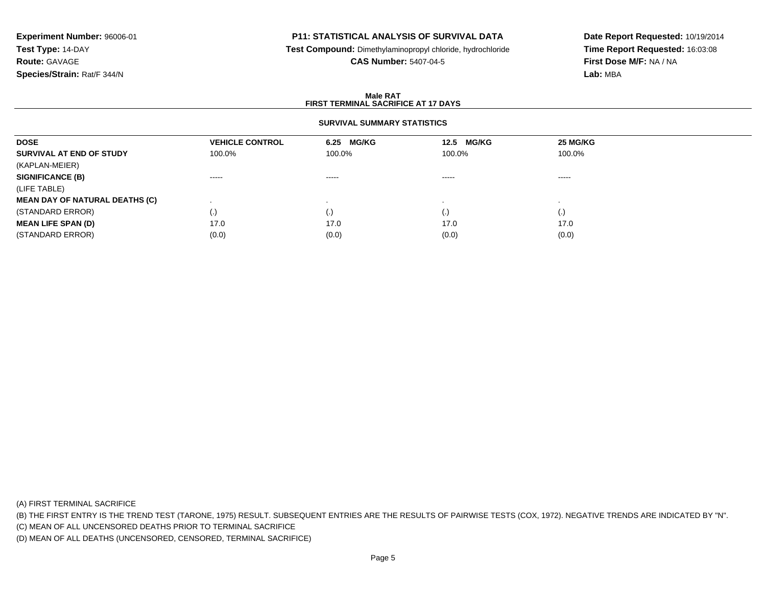## **P11: STATISTICAL ANALYSIS OF SURVIVAL DATA**

**Test Compound:** Dimethylaminopropyl chloride, hydrochloride

**CAS Number:** 5407-04-5

**Date Report Requested:** 10/19/2014**Time Report Requested:** 16:03:08**First Dose M/F:** NA / NA**Lab:** MBA

### **Male RATFIRST TERMINAL SACRIFICE AT 17 DAYS**

### **SURVIVAL SUMMARY STATISTICS**

| <b>VEHICLE CONTROL</b> | 6.25 MG/KG             | <b>MG/KG</b><br>12.5 | 25 MG/KG               |
|------------------------|------------------------|----------------------|------------------------|
| 100.0%                 | 100.0%                 | 100.0%               | 100.0%                 |
|                        |                        |                      |                        |
| $\cdots$               | $\cdots \cdots \cdots$ | -----                | $\cdots \cdots \cdots$ |
|                        |                        |                      |                        |
|                        |                        |                      |                        |
| $\cdot$                |                        | $\cdot$              | $\left( \cdot \right)$ |
| 17.0                   | 17.0                   | 17.0                 | 17.0                   |
| (0.0)                  | (0.0)                  | (0.0)                | (0.0)                  |
|                        |                        |                      |                        |

(A) FIRST TERMINAL SACRIFICE

(B) THE FIRST ENTRY IS THE TREND TEST (TARONE, 1975) RESULT. SUBSEQUENT ENTRIES ARE THE RESULTS OF PAIRWISE TESTS (COX, 1972). NEGATIVE TRENDS ARE INDICATED BY "N".

(C) MEAN OF ALL UNCENSORED DEATHS PRIOR TO TERMINAL SACRIFICE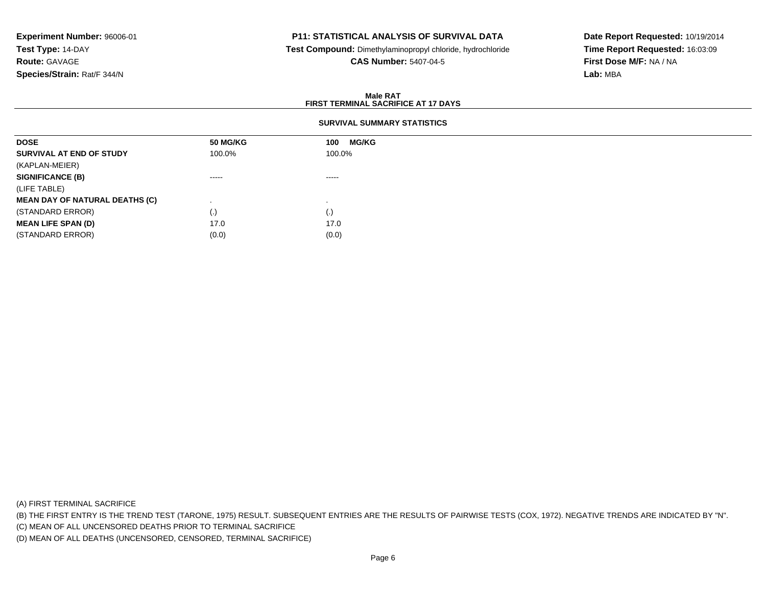## **P11: STATISTICAL ANALYSIS OF SURVIVAL DATA**

 **Test Compound:** Dimethylaminopropyl chloride, hydrochloride**CAS Number:** 5407-04-5

**Date Report Requested:** 10/19/2014**Time Report Requested:** 16:03:09**First Dose M/F:** NA / NA**Lab:** MBA

#### **Male RATFIRST TERMINAL SACRIFICE AT 17 DAYS**

## **SURVIVAL SUMMARY STATISTICS**

| <b>MG/KG</b><br>100 |
|---------------------|
| 100.0%              |
|                     |
| $\cdots$            |
|                     |
|                     |
| (.)                 |
| 17.0                |
| (0.0)               |
|                     |

(A) FIRST TERMINAL SACRIFICE

(B) THE FIRST ENTRY IS THE TREND TEST (TARONE, 1975) RESULT. SUBSEQUENT ENTRIES ARE THE RESULTS OF PAIRWISE TESTS (COX, 1972). NEGATIVE TRENDS ARE INDICATED BY "N".

(C) MEAN OF ALL UNCENSORED DEATHS PRIOR TO TERMINAL SACRIFICE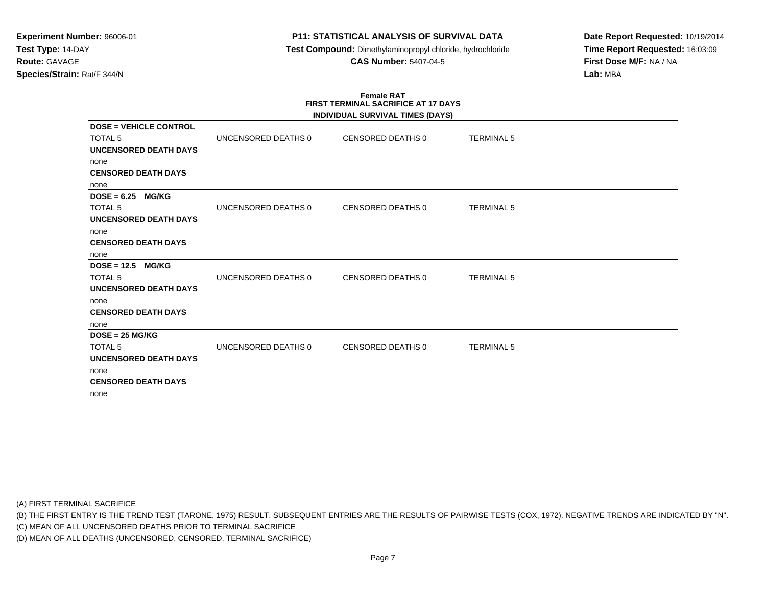**Test Compound:** Dimethylaminopropyl chloride, hydrochloride**CAS Number:** 5407-04-5

**Date Report Requested:** 10/19/2014**Time Report Requested:** 16:03:09**First Dose M/F:** NA / NA**Lab:** MBA

# **Female RATFIRST TERMINAL SACRIFICE AT 17 DAYS**

|                               |                     | INDIVIDUAL SURVIVAL TIMES (DAYS) |                   |  |
|-------------------------------|---------------------|----------------------------------|-------------------|--|
| <b>DOSE = VEHICLE CONTROL</b> |                     |                                  |                   |  |
| <b>TOTAL 5</b>                | UNCENSORED DEATHS 0 | CENSORED DEATHS 0                | <b>TERMINAL 5</b> |  |
| <b>UNCENSORED DEATH DAYS</b>  |                     |                                  |                   |  |
| none                          |                     |                                  |                   |  |
| <b>CENSORED DEATH DAYS</b>    |                     |                                  |                   |  |
| none                          |                     |                                  |                   |  |
| $DOSE = 6.25$<br><b>MG/KG</b> |                     |                                  |                   |  |
| <b>TOTAL 5</b>                | UNCENSORED DEATHS 0 | CENSORED DEATHS 0                | <b>TERMINAL 5</b> |  |
| <b>UNCENSORED DEATH DAYS</b>  |                     |                                  |                   |  |
| none                          |                     |                                  |                   |  |
| <b>CENSORED DEATH DAYS</b>    |                     |                                  |                   |  |
| none                          |                     |                                  |                   |  |
| $DOSE = 12.5$<br><b>MG/KG</b> |                     |                                  |                   |  |
| <b>TOTAL 5</b>                | UNCENSORED DEATHS 0 | CENSORED DEATHS 0                | <b>TERMINAL 5</b> |  |
| <b>UNCENSORED DEATH DAYS</b>  |                     |                                  |                   |  |
| none                          |                     |                                  |                   |  |
| <b>CENSORED DEATH DAYS</b>    |                     |                                  |                   |  |
| none                          |                     |                                  |                   |  |
| $DOSE = 25 MG/KG$             |                     |                                  |                   |  |
| <b>TOTAL 5</b>                | UNCENSORED DEATHS 0 | CENSORED DEATHS 0                | <b>TERMINAL 5</b> |  |
| UNCENSORED DEATH DAYS         |                     |                                  |                   |  |
| none                          |                     |                                  |                   |  |
| <b>CENSORED DEATH DAYS</b>    |                     |                                  |                   |  |
| none                          |                     |                                  |                   |  |

(A) FIRST TERMINAL SACRIFICE

(B) THE FIRST ENTRY IS THE TREND TEST (TARONE, 1975) RESULT. SUBSEQUENT ENTRIES ARE THE RESULTS OF PAIRWISE TESTS (COX, 1972). NEGATIVE TRENDS ARE INDICATED BY "N".

(C) MEAN OF ALL UNCENSORED DEATHS PRIOR TO TERMINAL SACRIFICE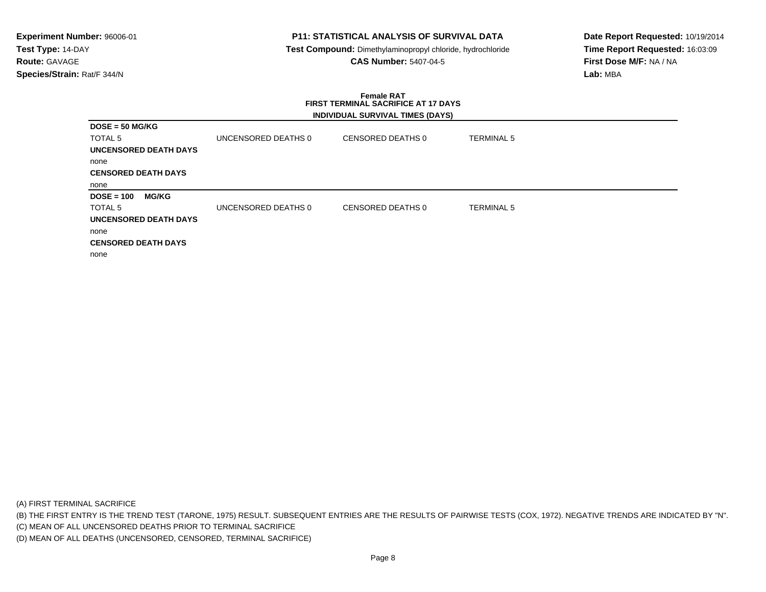## **P11: STATISTICAL ANALYSIS OF SURVIVAL DATA**

 **Test Compound:** Dimethylaminopropyl chloride, hydrochloride**CAS Number:** 5407-04-5

**Date Report Requested:** 10/19/2014**Time Report Requested:** 16:03:09**First Dose M/F:** NA / NA**Lab:** MBA

### **Female RAT FIRST TERMINAL SACRIFICE AT 17 DAYSINDIVIDUAL SURVIVAL TIMES (DAYS)**

| $DOSE = 50 MG/KG$            |                     |                   |                   |
|------------------------------|---------------------|-------------------|-------------------|
| <b>TOTAL 5</b>               | UNCENSORED DEATHS 0 | CENSORED DEATHS 0 | <b>TERMINAL 5</b> |
| <b>UNCENSORED DEATH DAYS</b> |                     |                   |                   |
| none                         |                     |                   |                   |
| <b>CENSORED DEATH DAYS</b>   |                     |                   |                   |
| none                         |                     |                   |                   |
| <b>MG/KG</b><br>$DOSE = 100$ |                     |                   |                   |
| <b>TOTAL 5</b>               | UNCENSORED DEATHS 0 | CENSORED DEATHS 0 | TERMINAL 5        |
| <b>UNCENSORED DEATH DAYS</b> |                     |                   |                   |
| none                         |                     |                   |                   |
| <b>CENSORED DEATH DAYS</b>   |                     |                   |                   |
| none                         |                     |                   |                   |

(A) FIRST TERMINAL SACRIFICE

(B) THE FIRST ENTRY IS THE TREND TEST (TARONE, 1975) RESULT. SUBSEQUENT ENTRIES ARE THE RESULTS OF PAIRWISE TESTS (COX, 1972). NEGATIVE TRENDS ARE INDICATED BY "N".

(C) MEAN OF ALL UNCENSORED DEATHS PRIOR TO TERMINAL SACRIFICE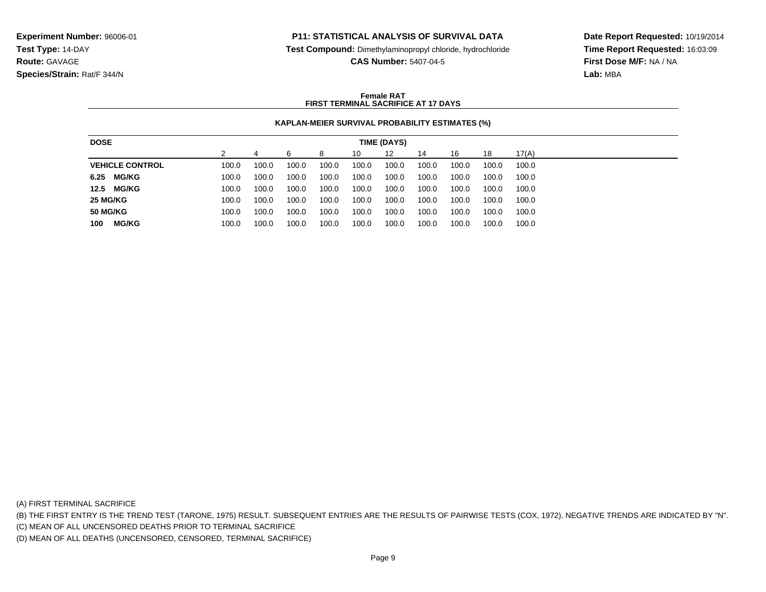**Test Compound:** Dimethylaminopropyl chloride, hydrochloride

**CAS Number:** 5407-04-5

**Date Report Requested:** 10/19/2014**Time Report Requested:** 16:03:09**First Dose M/F:** NA / NA**Lab:** MBA

### **Female RATFIRST TERMINAL SACRIFICE AT 17 DAYS**

# **KAPLAN-MEIER SURVIVAL PROBABILITY ESTIMATES (%)**

| <b>DOSE</b>            |       |       |       |       |       | TIME (DAYS) |       |       |       |       |
|------------------------|-------|-------|-------|-------|-------|-------------|-------|-------|-------|-------|
|                        |       |       | ิค    | 8     | 10    | 12          | 14    | 16    | 18    | 17(A) |
| <b>VEHICLE CONTROL</b> | 100.0 | 100.0 | 100.0 | 100.0 | 100.0 | 100.0       | 100.0 | 100.0 | 100.0 | 100.0 |
| 6.25 MG/KG             | 100.0 | 100.0 | 100.0 | 100.0 | 100.0 | 100.0       | 100.0 | 100.0 | 100.0 | 100.0 |
| <b>MG/KG</b><br>12.5   | 100.0 | 100.0 | 100.0 | 100.0 | 100.0 | 100.0       | 100.0 | 100.0 | 100.0 | 100.0 |
| 25 MG/KG               | 100.0 | 100.0 | 100.0 | 100.0 | 100.0 | 100.0       | 100.0 | 100.0 | 100.0 | 100.0 |
| <b>50 MG/KG</b>        | 100.0 | 100.0 | 100.0 | 100.0 | 100.0 | 100.0       | 100.0 | 100.0 | 100.0 | 100.0 |
| <b>MG/KG</b><br>100    | 100.0 | 100.0 | 100.0 | 100.0 | 100.0 | 100.0       | 100.0 | 100.0 | 100.0 | 100.0 |

(A) FIRST TERMINAL SACRIFICE

(B) THE FIRST ENTRY IS THE TREND TEST (TARONE, 1975) RESULT. SUBSEQUENT ENTRIES ARE THE RESULTS OF PAIRWISE TESTS (COX, 1972). NEGATIVE TRENDS ARE INDICATED BY "N".

(C) MEAN OF ALL UNCENSORED DEATHS PRIOR TO TERMINAL SACRIFICE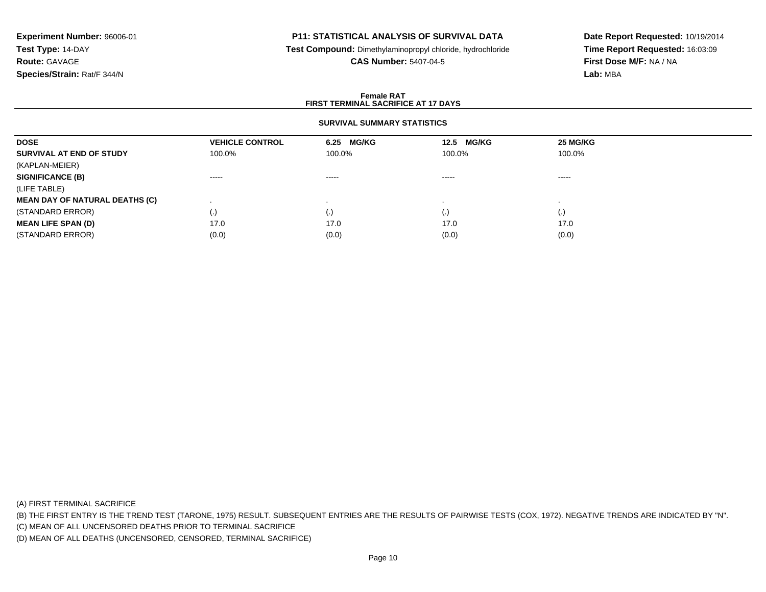## **P11: STATISTICAL ANALYSIS OF SURVIVAL DATA**

**Test Compound:** Dimethylaminopropyl chloride, hydrochloride

**CAS Number:** 5407-04-5

**Date Report Requested:** 10/19/2014**Time Report Requested:** 16:03:09**First Dose M/F:** NA / NA**Lab:** MBA

### **Female RATFIRST TERMINAL SACRIFICE AT 17 DAYS**

## **SURVIVAL SUMMARY STATISTICS**

| <b>VEHICLE CONTROL</b> |                        | 12.5 MG/KG | 25 MG/KG               |
|------------------------|------------------------|------------|------------------------|
| 100.0%                 | 100.0%                 | 100.0%     | 100.0%                 |
|                        |                        |            |                        |
| $\cdots \cdots \cdots$ | $\cdots \cdots \cdots$ | -----      | $\cdots \cdots \cdots$ |
|                        |                        |            |                        |
|                        |                        |            |                        |
| $\left( . \right)$     |                        |            | $\left( \cdot \right)$ |
| 17.0                   | 17.0                   | 17.0       | 17.0                   |
| (0.0)                  | (0.0)                  | (0.0)      | (0.0)                  |
|                        |                        | 6.25 MG/KG |                        |

(A) FIRST TERMINAL SACRIFICE

(B) THE FIRST ENTRY IS THE TREND TEST (TARONE, 1975) RESULT. SUBSEQUENT ENTRIES ARE THE RESULTS OF PAIRWISE TESTS (COX, 1972). NEGATIVE TRENDS ARE INDICATED BY "N".

(C) MEAN OF ALL UNCENSORED DEATHS PRIOR TO TERMINAL SACRIFICE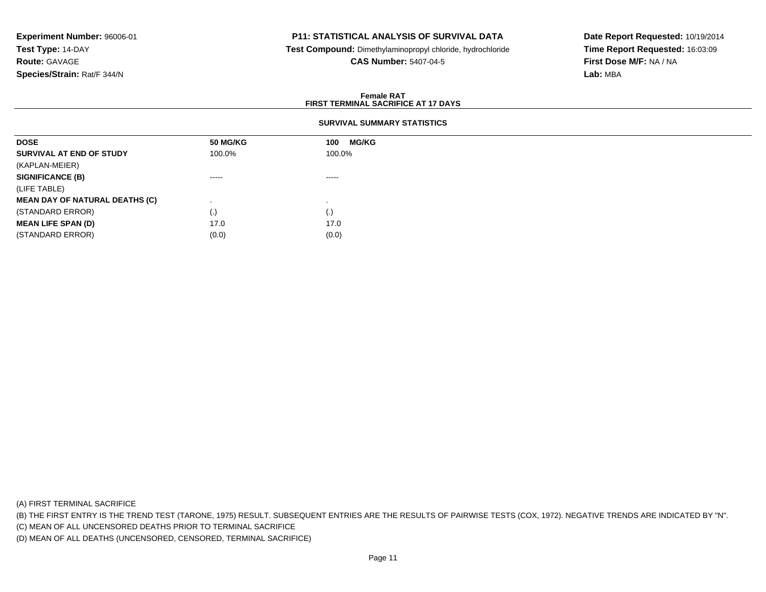## **P11: STATISTICAL ANALYSIS OF SURVIVAL DATA**

 **Test Compound:** Dimethylaminopropyl chloride, hydrochloride**CAS Number:** 5407-04-5

**Date Report Requested:** 10/19/2014**Time Report Requested:** 16:03:09**First Dose M/F:** NA / NA**Lab:** MBA

### **Female RATFIRST TERMINAL SACRIFICE AT 17 DAYS**

## **SURVIVAL SUMMARY STATISTICS**

| <b>50 MG/KG</b> | <b>MG/KG</b><br>100 |
|-----------------|---------------------|
| 100.0%          | 100.0%              |
|                 |                     |
| ------          | $\cdots$            |
|                 |                     |
|                 |                     |
| (.)             | (.)                 |
| 17.0            | 17.0                |
| (0.0)           | (0.0)               |
|                 |                     |

(A) FIRST TERMINAL SACRIFICE

(B) THE FIRST ENTRY IS THE TREND TEST (TARONE, 1975) RESULT. SUBSEQUENT ENTRIES ARE THE RESULTS OF PAIRWISE TESTS (COX, 1972). NEGATIVE TRENDS ARE INDICATED BY "N".

(C) MEAN OF ALL UNCENSORED DEATHS PRIOR TO TERMINAL SACRIFICE